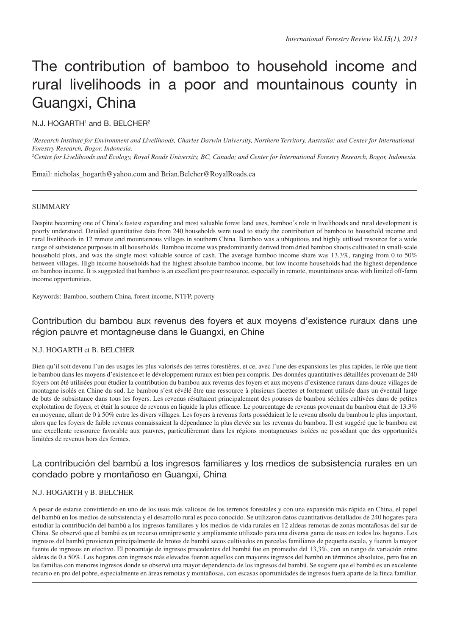# The contribution of bamboo to household income and rural livelihoods in a poor and mountainous county in Guangxi, China

# N.J. HOGARTH<sup>1</sup> and B. BELCHER<sup>2</sup>

<sup>1</sup> Research Institute for Environment and Livelihoods, Charles Darwin University, Northern Territory, Australia; and Center for International *Forestry Research, Bogor, Indonesia.*

*2 Centre for Livelihoods and Ecology, Royal Roads University, BC, Canada; and Center for International Forestry Research, Bogor, Indonesia.*

Email: nicholas\_hogarth@yahoo.com and Brian.Belcher@RoyalRoads.ca

## **SUMMARY**

Despite becoming one of China's fastest expanding and most valuable forest land uses, bamboo's role in livelihoods and rural development is poorly understood. Detailed quantitative data from 240 households were used to study the contribution of bamboo to household income and rural livelihoods in 12 remote and mountainous villages in southern China. Bamboo was a ubiquitous and highly utilised resource for a wide range of subsistence purposes in all households. Bamboo income was predominantly derived from dried bamboo shoots cultivated in small-scale household plots, and was the single most valuable source of cash. The average bamboo income share was 13.3%, ranging from 0 to 50% between villages. High income households had the highest absolute bamboo income, but low income households had the highest dependence on bamboo income. It is suggested that bamboo is an excellent pro poor resource, especially in remote, mountainous areas with limited off-farm income opportunities.

Keywords: Bamboo, southern China, forest income, NTFP, poverty

# Contribution du bambou aux revenus des foyers et aux moyens d'existence ruraux dans une région pauvre et montagneuse dans le Guangxi, en Chine

#### N.J. HOGARTH et B. BELCHER

Bien qu'il soit devenu l'un des usages les plus valorisés des terres forestières, et ce, avec l'une des expansions les plus rapides, le rôle que tient le bambou dans les moyens d'existence et le développement ruraux est bien peu compris. Des données quantitatives détaillées provenant de 240 foyers ont été utilisées pour étudier la contribution du bambou aux revenus des foyers et aux moyens d'existence ruraux dans douze villages de montagne isolés en Chine du sud. Le bambou s'est révélé être une ressource à plusieurs facettes et fortement utilisée dans un éventail large de buts de subsistance dans tous les foyers. Les revenus résultaient principalement des pousses de bambou séchées cultivées dans de petites exploitation de foyers, et était la source de revenus en liquide la plus efficace. Le pourcentage de revenus provenant du bambou était de 13.3% en moyenne, allant de 0 à 50% entre les divers villages. Les foyers à revenus forts possédaient le le revenu absolu du bambou le plus important, alors que les foyers de faible revenus connaissaient la dépendance la plus élevée sur les revenus du bambou. Il est suggéré que le bambou est une excellente ressource favorable aux pauvres, particulièremnt dans les régions montagneuses isolées ne possédant que des opportunités limitées de revenus hors des fermes.

# La contribución del bambú a los ingresos familiares y los medios de subsistencia rurales en un condado pobre y montañoso en Guangxi, China

# N.J. HOGARTH y B. BELCHER

A pesar de estarse convirtiendo en uno de los usos más valiosos de los terrenos forestales y con una expansión más rápida en China, el papel del bambú en los medios de subsistencia y el desarrollo rural es poco conocido. Se utilizaron datos cuantitativos detallados de 240 hogares para estudiar la contribución del bambú a los ingresos familiares y los medios de vida rurales en 12 aldeas remotas de zonas montañosas del sur de China. Se observó que el bambú es un recurso omnipresente y ampliamente utilizado para una diversa gama de usos en todos los hogares. Los ingresos del bambú provienen principalmente de brotes de bambú secos cultivados en parcelas familiares de pequeña escala, y fueron la mayor fuente de ingresos en efectivo. El porcentaje de ingresos procedentes del bambú fue en promedio del 13,3%, con un rango de variación entre aldeas de 0 a 50%. Los hogares con ingresos más elevados fueron aquellos con mayores ingresos del bambú en términos absolutos, pero fue en las familias con menores ingresos donde se observó una mayor dependencia de los ingresos del bambú. Se sugiere que el bambú es un excelente recurso en pro del pobre, especialmente en áreas remotas y montañosas, con escasas oportunidades de ingresos fuera aparte de la finca familiar.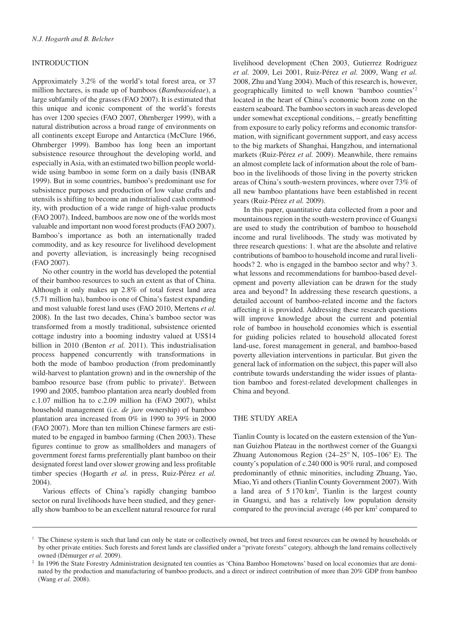# INTRODUCTION

Approximately 3.2% of the world's total forest area, or 37 million hectares, is made up of bamboos (*Bambusoideae*), a large subfamily of the grasses (FAO 2007). It is estimated that this unique and iconic component of the world's forests has over 1200 species (FAO 2007, Ohrnberger 1999), with a natural distribution across a broad range of environments on all continents except Europe and Antarctica (McClure 1966, Ohrnberger 1999). Bamboo has long been an important subsistence resource throughout the developing world, and especially in Asia, with an estimated two billion people worldwide using bamboo in some form on a daily basis (INBAR 1999). But in some countries, bamboo's predominant use for subsistence purposes and production of low value crafts and utensils is shifting to become an industrialised cash commodity, with production of a wide range of high-value products (FAO 2007). Indeed, bamboos are now one of the worlds most valuable and important non wood forest products (FAO 2007). Bamboo's importance as both an internationally traded commodity, and as key resource for livelihood development and poverty alleviation, is increasingly being recognised (FAO 2007).

No other country in the world has developed the potential of their bamboo resources to such an extent as that of China. Although it only makes up 2.8% of total forest land area (5.71 million ha), bamboo is one of China's fastest expanding and most valuable forest land uses (FAO 2010, Mertens *et al.* 2008). In the last two decades, China's bamboo sector was transformed from a mostly traditional, subsistence oriented cottage industry into a booming industry valued at US\$14 billion in 2010 (Benton *et al.* 2011). This industrialisation process happened concurrently with transformations in both the mode of bamboo production (from predominantly wild-harvest to plantation grown) and in the ownership of the bamboo resource base (from public to private)<sup>1</sup>. Between 1990 and 2005, bamboo plantation area nearly doubled from c.1.07 million ha to c.2.09 million ha (FAO 2007), whilst household management (i.e. *de jure* ownership) of bamboo plantation area increased from 0% in 1990 to 39% in 2000 (FAO 2007). More than ten million Chinese farmers are estimated to be engaged in bamboo farming (Chen 2003). These figures continue to grow as smallholders and managers of government forest farms preferentially plant bamboo on their designated forest land over slower growing and less profitable timber species (Hogarth *et al.* in press, Ruiz-Pérez *et al.* 2004).

Various effects of China's rapidly changing bamboo sector on rural livelihoods have been studied, and they generally show bamboo to be an excellent natural resource for rural

livelihood development (Chen 2003, Gutierrez Rodriguez *et al.* 2009, Lei 2001, Ruiz-Pérez *et al.* 2009, Wang *et al.* 2008, Zhu and Yang 2004). Much of this research is, however, geographically limited to well known 'bamboo counties'2 located in the heart of China's economic boom zone on the eastern seaboard. The bamboo sectors in such areas developed under somewhat exceptional conditions, – greatly benefitting from exposure to early policy reforms and economic transformation, with significant government support, and easy access to the big markets of Shanghai, Hangzhou, and international markets (Ruiz-Pérez *et al.* 2009). Meanwhile, there remains an almost complete lack of information about the role of bamboo in the livelihoods of those living in the poverty stricken areas of China's south-western provinces, where over 73% of all new bamboo plantations have been established in recent years (Ruiz-Pérez *et al.* 2009).

In this paper, quantitative data collected from a poor and mountainous region in the south-western province of Guangxi are used to study the contribution of bamboo to household income and rural livelihoods. The study was motivated by three research questions: 1. what are the absolute and relative contributions of bamboo to household income and rural livelihoods? 2. who is engaged in the bamboo sector and why? 3. what lessons and recommendations for bamboo-based development and poverty alleviation can be drawn for the study area and beyond? In addressing these research questions, a detailed account of bamboo-related income and the factors affecting it is provided. Addressing these research questions will improve knowledge about the current and potential role of bamboo in household economies which is essential for guiding policies related to household allocated forest land-use, forest management in general, and bamboo-based poverty alleviation interventions in particular. But given the general lack of information on the subject, this paper will also contribute towards understanding the wider issues of plantation bamboo and forest-related development challenges in China and beyond.

## THE STUDY AREA

Tianlin County is located on the eastern extension of the Yunnan Guizhou Plateau in the northwest corner of the Guangxi Zhuang Autonomous Region (24–25° N, 105–106° E). The county's population of c.240 000 is 90% rural, and composed predominantly of ethnic minorities, including Zhuang, Yao, Miao, Yi and others (Tianlin County Government 2007). With a land area of  $5\ 170\ \text{km}^2$ , Tianlin is the largest county in Guangxi, and has a relatively low population density compared to the provincial average  $(46 \text{ per km}^2 \text{ compared to } 10^{-12} \text{ m})$ 

<sup>&</sup>lt;sup>1</sup> The Chinese system is such that land can only be state or collectively owned, but trees and forest resources can be owned by households or by other private entities. Such forests and forest lands are classified under a "private forests" category, although the land remains collectively owned (Démurger et al. 2009).

<sup>&</sup>lt;sup>2</sup> In 1996 the State Forestry Administration designated ten counties as 'China Bamboo Hometowns' based on local economies that are dominated by the production and manufacturing of bamboo products, and a direct or indirect contribution of more than 20% GDP from bamboo (Wang *et al.* 2008).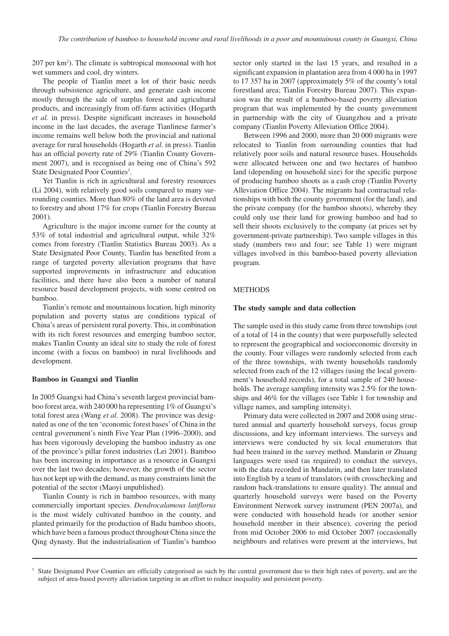207 per km<sup>2</sup>). The climate is subtropical monsoonal with hot wet summers and cool, dry winters.

The people of Tianlin meet a lot of their basic needs through subsistence agriculture, and generate cash income mostly through the sale of surplus forest and agricultural products, and increasingly from off-farm activities (Hogarth *et al.* in press). Despite significant increases in household income in the last decades, the average Tianlinese farmer's income remains well below both the provincial and national average for rural households (Hogarth *et al.* in press). Tianlin has an official poverty rate of 29% (Tianlin County Government 2007), and is recognised as being one of China's 592 State Designated Poor Counties<sup>3</sup>.

Yet Tianlin is rich in agricultural and forestry resources (Li 2004), with relatively good soils compared to many surrounding counties. More than 80% of the land area is devoted to forestry and about 17% for crops (Tianlin Forestry Bureau 2001).

Agriculture is the major income earner for the county at 53% of total industrial and agricultural output, while 32% comes from forestry (Tianlin Statistics Bureau 2003). As a State Designated Poor County, Tianlin has benefited from a range of targeted poverty alleviation programs that have supported improvements in infrastructure and education facilities, and there have also been a number of natural resource based development projects, with some centred on bamboo.

Tianlin's remote and mountainous location, high minority population and poverty status are conditions typical of China's areas of persistent rural poverty. This, in combination with its rich forest resources and emerging bamboo sector, makes Tianlin County an ideal site to study the role of forest income (with a focus on bamboo) in rural livelihoods and development.

#### **Bamboo in Guangxi and Tianlin**

In 2005 Guangxi had China's seventh largest provincial bamboo forest area, with 240 000 ha representing 1% of Guangxi's total forest area (Wang *et al.* 2008). The province was designated as one of the ten 'economic forest bases' of China in the central government's ninth Five Year Plan (1996–2000), and has been vigorously developing the bamboo industry as one of the province's pillar forest industries (Lei 2001). Bamboo has been increasing in importance as a resource in Guangxi over the last two decades; however, the growth of the sector has not kept up with the demand, as many constraints limit the potential of the sector (Maoyi unpublished).

Tianlin County is rich in bamboo resources, with many commercially important species. *Dendrocalamous latiflorus* is the most widely cultivated bamboo in the county, and planted primarily for the production of Badu bamboo shoots, which have been a famous product throughout China since the Qing dynasty. But the industrialisation of Tianlin's bamboo sector only started in the last 15 years, and resulted in a significant expansion in plantation area from 4 000 ha in 1997 to 17 357 ha in 2007 (approximately 5% of the county's total forestland area; Tianlin Forestry Bureau 2007). This expansion was the result of a bamboo-based poverty alleviation program that was implemented by the county government in partnership with the city of Guangzhou and a private company (Tianlin Poverty Alleviation Office 2004).

Between 1996 and 2000, more than 20 000 migrants were relocated to Tianlin from surrounding counties that had relatively poor soils and natural resource bases. Households were allocated between one and two hectares of bamboo land (depending on household size) for the specific purpose of producing bamboo shoots as a cash crop (Tianlin Poverty Alleviation Office 2004). The migrants had contractual relationships with both the county government (for the land), and the private company (for the bamboo shoots), whereby they could only use their land for growing bamboo and had to sell their shoots exclusively to the company (at prices set by government-private partnership). Two sample villages in this study (numbers two and four; see Table 1) were migrant villages involved in this bamboo-based poverty alleviation program.

#### METHODS

#### **The study sample and data collection**

The sample used in this study came from three townships (out of a total of 14 in the county) that were purposefully selected to represent the geographical and socioeconomic diversity in the county. Four villages were randomly selected from each of the three townships, with twenty households randomly selected from each of the 12 villages (using the local government's household records), for a total sample of 240 households. The average sampling intensity was 2.5% for the townships and 46% for the villages (see Table 1 for township and village names, and sampling intensity).

Primary data were collected in 2007 and 2008 using structured annual and quarterly household surveys, focus group discussions, and key informant interviews. The surveys and interviews were conducted by six local enumerators that had been trained in the survey method. Mandarin or Zhuang languages were used (as required) to conduct the surveys, with the data recorded in Mandarin, and then later translated into English by a team of translators (with crosschecking and random back-translations to ensure quality). The annual and quarterly household surveys were based on the Poverty Environment Network survey instrument (PEN 2007a), and were conducted with household heads (or another senior household member in their absence), covering the period from mid October 2006 to mid October 2007 (occasionally neighbours and relatives were present at the interviews, but

<sup>&</sup>lt;sup>3</sup> State Designated Poor Counties are officially categorised as such by the central government due to their high rates of poverty, and are the subject of area-based poverty alleviation targeting in an effort to reduce inequality and persistent poverty.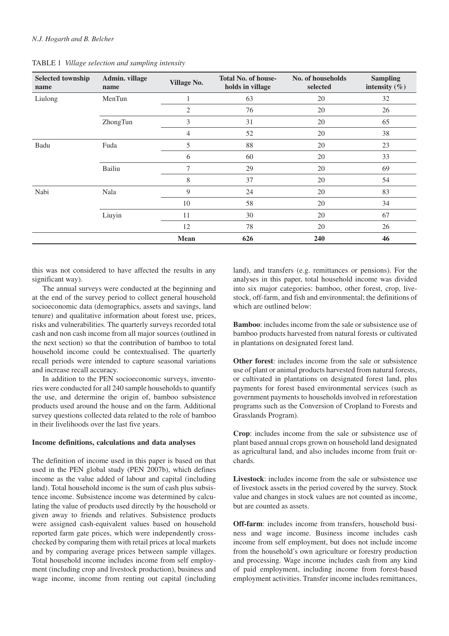| <b>Selected township</b><br>name | Admin. village<br>name | <b>Village No.</b> | <b>Total No. of house-</b><br>holds in village | No. of households<br>selected | <b>Sampling</b><br>intensity $(\% )$ |
|----------------------------------|------------------------|--------------------|------------------------------------------------|-------------------------------|--------------------------------------|
| Liulong                          | MenTun                 | 1                  | 63                                             | 20                            | 32                                   |
|                                  |                        | $\overline{2}$     | 76                                             | 20                            | 26                                   |
|                                  | ZhongTun               | 3                  | 31                                             | 20                            | 65                                   |
|                                  |                        | $\overline{4}$     | 52                                             | 20                            | 38                                   |
| Badu                             | Fuda                   | 5                  | 88                                             | 20                            | 23                                   |
|                                  |                        | 6                  | 60                                             | 20                            | 33                                   |
|                                  | Bailiu                 | 7                  | 29                                             | 20                            | 69                                   |
|                                  |                        | 8                  | 37                                             | 20                            | 54                                   |
| Nabi                             | Nala                   | 9                  | 24                                             | 20                            | 83                                   |
|                                  |                        | 10                 | 58                                             | 20                            | 34                                   |
|                                  | Liuyin                 | 11                 | 30                                             | 20                            | 67                                   |
|                                  |                        | 12                 | 78                                             | 20                            | 26                                   |
|                                  |                        | <b>Mean</b>        | 626                                            | 240                           | 46                                   |

TABLE 1 *Village selection and sampling intensity*

this was not considered to have affected the results in any significant way).

The annual surveys were conducted at the beginning and at the end of the survey period to collect general household socioeconomic data (demographics, assets and savings, land tenure) and qualitative information about forest use, prices, risks and vulnerabilities. The quarterly surveys recorded total cash and non cash income from all major sources (outlined in the next section) so that the contribution of bamboo to total household income could be contextualised. The quarterly recall periods were intended to capture seasonal variations and increase recall accuracy.

In addition to the PEN socioeconomic surveys, inventories were conducted for all 240 sample households to quantify the use, and determine the origin of, bamboo subsistence products used around the house and on the farm. Additional survey questions collected data related to the role of bamboo in their livelihoods over the last five years.

#### **Income definitions, calculations and data analyses**

The definition of income used in this paper is based on that used in the PEN global study (PEN 2007b), which defines income as the value added of labour and capital (including land). Total household income is the sum of cash plus subsistence income. Subsistence income was determined by calculating the value of products used directly by the household or given away to friends and relatives. Subsistence products were assigned cash-equivalent values based on household reported farm gate prices, which were independently crosschecked by comparing them with retail prices at local markets and by comparing average prices between sample villages. Total household income includes income from self employment (including crop and livestock production), business and wage income, income from renting out capital (including land), and transfers (e.g. remittances or pensions). For the analyses in this paper, total household income was divided into six major categories: bamboo, other forest, crop, livestock, off-farm, and fish and environmental; the definitions of which are outlined below:

**Bamboo**: includes income from the sale or subsistence use of bamboo products harvested from natural forests or cultivated in plantations on designated forest land.

**Other forest:** includes income from the sale or subsistence use of plant or animal products harvested from natural forests, or cultivated in plantations on designated forest land, plus payments for forest based environmental services (such as government payments to households involved in reforestation programs such as the Conversion of Cropland to Forests and Grasslands Program).

**Crop**: includes income from the sale or subsistence use of plant based annual crops grown on household land designated as agricultural land, and also includes income from fruit orchards.

**Livestock**: includes income from the sale or subsistence use of livestock assets in the period covered by the survey. Stock value and changes in stock values are not counted as income, but are counted as assets.

**Off-farm**: includes income from transfers, household business and wage income. Business income includes cash income from self employment, but does not include income from the household's own agriculture or forestry production and processing. Wage income includes cash from any kind of paid employment, including income from forest-based employment activities. Transfer income includes remittances,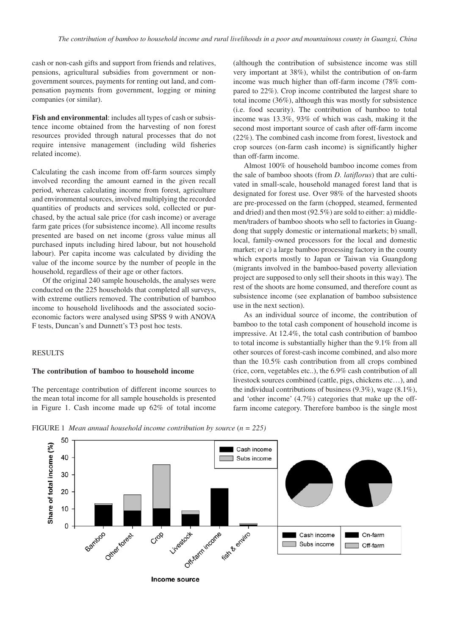cash or non-cash gifts and support from friends and relatives, pensions, agricultural subsidies from government or nongovernment sources, payments for renting out land, and compensation payments from government, logging or mining companies (or similar).

**Fish and environmental**: includes all types of cash or subsistence income obtained from the harvesting of non forest resources provided through natural processes that do not require intensive management (including wild fisheries related income).

Calculating the cash income from off-farm sources simply involved recording the amount earned in the given recall period, whereas calculating income from forest, agriculture and environmental sources, involved multiplying the recorded quantities of products and services sold, collected or purchased, by the actual sale price (for cash income) or average farm gate prices (for subsistence income). All income results presented are based on net income (gross value minus all purchased inputs including hired labour, but not household labour). Per capita income was calculated by dividing the value of the income source by the number of people in the household, regardless of their age or other factors.

Of the original 240 sample households, the analyses were conducted on the 225 households that completed all surveys, with extreme outliers removed. The contribution of bamboo income to household livelihoods and the associated socioeconomic factors were analysed using SPSS 9 with ANOVA F tests, Duncan's and Dunnett's T3 post hoc tests.

# RESULTS

#### **The contribution of bamboo to household income**

The percentage contribution of different income sources to the mean total income for all sample households is presented in Figure 1. Cash income made up 62% of total income

(although the contribution of subsistence income was still very important at 38%), whilst the contribution of on-farm income was much higher than off-farm income (78% compared to 22%). Crop income contributed the largest share to total income (36%), although this was mostly for subsistence (i.e. food security). The contribution of bamboo to total income was 13.3%, 93% of which was cash, making it the second most important source of cash after off-farm income (22%). The combined cash income from forest, livestock and crop sources (on-farm cash income) is significantly higher than off-farm income.

Almost 100% of household bamboo income comes from the sale of bamboo shoots (from *D. latiflorus*) that are cultivated in small-scale, household managed forest land that is designated for forest use. Over 98% of the harvested shoots are pre-processed on the farm (chopped, steamed, fermented and dried) and then most (92.5%) are sold to either: a) middlemen/traders of bamboo shoots who sell to factories in Guangdong that supply domestic or international markets; b) small, local, family-owned processors for the local and domestic market; or c) a large bamboo processing factory in the county which exports mostly to Japan or Taiwan via Guangdong (migrants involved in the bamboo-based poverty alleviation project are supposed to only sell their shoots in this way). The rest of the shoots are home consumed, and therefore count as subsistence income (see explanation of bamboo subsistence use in the next section).

As an individual source of income, the contribution of bamboo to the total cash component of household income is impressive. At 12.4%, the total cash contribution of bamboo to total income is substantially higher than the 9.1% from all other sources of forest-cash income combined, and also more than the 10.5% cash contribution from all crops combined (rice, corn, vegetables etc..), the 6.9% cash contribution of all livestock sources combined (cattle, pigs, chickens etc…), and the individual contributions of business  $(9.3\%)$ , wage  $(8.1\%)$ , and 'other income' (4.7%) categories that make up the offfarm income category. Therefore bamboo is the single most

FIGURE 1 *Mean annual household income contribution by source* (*n = 225)*



**Income source**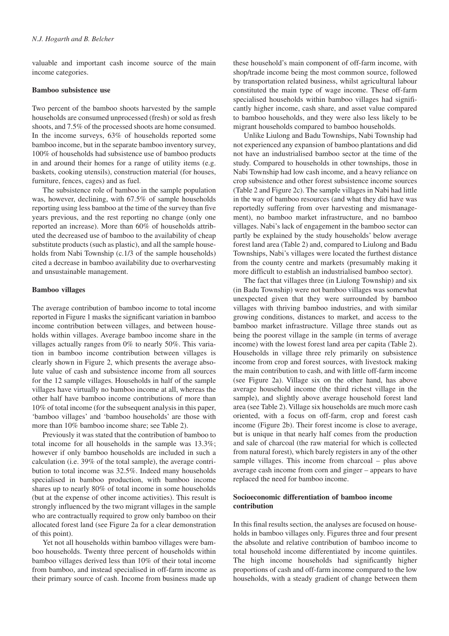valuable and important cash income source of the main income categories.

#### **Bamboo subsistence use**

Two percent of the bamboo shoots harvested by the sample households are consumed unprocessed (fresh) or sold as fresh shoots, and 7.5% of the processed shoots are home consumed. In the income surveys, 63% of households reported some bamboo income, but in the separate bamboo inventory survey, 100% of households had subsistence use of bamboo products in and around their homes for a range of utility items (e.g. baskets, cooking utensils), construction material (for houses, furniture, fences, cages) and as fuel.

The subsistence role of bamboo in the sample population was, however, declining, with 67.5% of sample households reporting using less bamboo at the time of the survey than five years previous, and the rest reporting no change (only one reported an increase). More than 60% of households attributed the decreased use of bamboo to the availability of cheap substitute products (such as plastic), and all the sample households from Nabi Township (c.1/3 of the sample households) cited a decrease in bamboo availability due to overharvesting and unsustainable management.

#### **Bamboo villages**

The average contribution of bamboo income to total income reported in Figure 1 masks the significant variation in bamboo income contribution between villages, and between households within villages. Average bamboo income share in the villages actually ranges from 0% to nearly 50%. This variation in bamboo income contribution between villages is clearly shown in Figure 2, which presents the average absolute value of cash and subsistence income from all sources for the 12 sample villages. Households in half of the sample villages have virtually no bamboo income at all, whereas the other half have bamboo income contributions of more than 10% of total income (for the subsequent analysis in this paper, 'bamboo villages' and 'bamboo households' are those with more than 10% bamboo income share; see Table 2).

Previously it was stated that the contribution of bamboo to total income for all households in the sample was 13.3%; however if only bamboo households are included in such a calculation (i.e. 39% of the total sample), the average contribution to total income was 32.5%. Indeed many households specialised in bamboo production, with bamboo income shares up to nearly 80% of total income in some households (but at the expense of other income activities). This result is strongly influenced by the two migrant villages in the sample who are contractually required to grow only bamboo on their allocated forest land (see Figure 2a for a clear demonstration of this point).

Yet not all households within bamboo villages were bamboo households. Twenty three percent of households within bamboo villages derived less than 10% of their total income from bamboo, and instead specialised in off-farm income as their primary source of cash. Income from business made up

these household's main component of off-farm income, with shop/trade income being the most common source, followed by transportation related business, whilst agricultural labour constituted the main type of wage income. These off-farm specialised households within bamboo villages had significantly higher income, cash share, and asset value compared to bamboo households, and they were also less likely to be migrant households compared to bamboo households.

Unlike Liulong and Badu Townships, Nabi Township had not experienced any expansion of bamboo plantations and did not have an industrialised bamboo sector at the time of the study. Compared to households in other townships, those in Nabi Township had low cash income, and a heavy reliance on crop subsistence and other forest subsistence income sources (Table 2 and Figure 2c). The sample villages in Nabi had little in the way of bamboo resources (and what they did have was reportedly suffering from over harvesting and mismanagement), no bamboo market infrastructure, and no bamboo villages. Nabi's lack of engagement in the bamboo sector can partly be explained by the study households' below average forest land area (Table 2) and, compared to Liulong and Badu Townships, Nabi's villages were located the furthest distance from the county centre and markets (presumably making it more difficult to establish an industrialised bamboo sector).

The fact that villages three (in Liulong Township) and six (in Badu Township) were not bamboo villages was somewhat unexpected given that they were surrounded by bamboo villages with thriving bamboo industries, and with similar growing conditions, distances to market, and access to the bamboo market infrastructure. Village three stands out as being the poorest village in the sample (in terms of average income) with the lowest forest land area per capita (Table 2). Households in village three rely primarily on subsistence income from crop and forest sources, with livestock making the main contribution to cash, and with little off-farm income (see Figure 2a). Village six on the other hand, has above average household income (the third richest village in the sample), and slightly above average household forest land area (see Table 2). Village six households are much more cash oriented, with a focus on off-farm, crop and forest cash income (Figure 2b). Their forest income is close to average, but is unique in that nearly half comes from the production and sale of charcoal (the raw material for which is collected from natural forest), which barely registers in any of the other sample villages. This income from charcoal – plus above average cash income from corn and ginger – appears to have replaced the need for bamboo income.

## **Socioeconomic differentiation of bamboo income contribution**

In this final results section, the analyses are focused on households in bamboo villages only. Figures three and four present the absolute and relative contribution of bamboo income to total household income differentiated by income quintiles. The high income households had significantly higher proportions of cash and off-farm income compared to the low households, with a steady gradient of change between them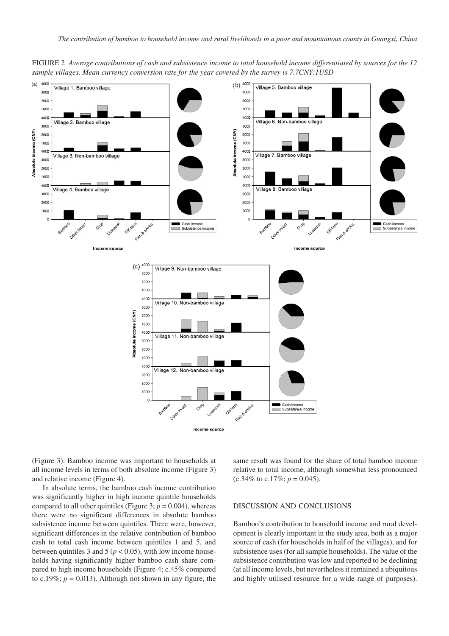

FIGURE 2 *Average contributions of cash and subsistence income to total household income differentiated by sources for the 12 sample villages. Mean currency conversion rate for the year covered by the survey is 7.7CNY:1USD*

(Figure 3). Bamboo income was important to households at all income levels in terms of both absolute income (Figure 3) and relative income (Figure 4).

In absolute terms, the bamboo cash income contribution was significantly higher in high income quintile households compared to all other quintiles (Figure 3;  $p = 0.004$ ), whereas there were no significant differences in absolute bamboo subsistence income between quintiles. There were, however, significant differences in the relative contribution of bamboo cash to total cash income between quintiles 1 and 5, and between quintiles 3 and 5 ( $p < 0.05$ ), with low income households having significantly higher bamboo cash share compared to high income households (Figure 4; c.45% compared to c.19%;  $p = 0.013$ ). Although not shown in any figure, the same result was found for the share of total bamboo income relative to total income, although somewhat less pronounced  $(c.34\% \text{ to } c.17\%; p = 0.045).$ 

#### DISCUSSION AND CONCLUSIONS

Bamboo's contribution to household income and rural development is clearly important in the study area, both as a major source of cash (for households in half of the villages), and for subsistence uses (for all sample households). The value of the subsistence contribution was low and reported to be declining (at all income levels, but nevertheless it remained a ubiquitous and highly utilised resource for a wide range of purposes).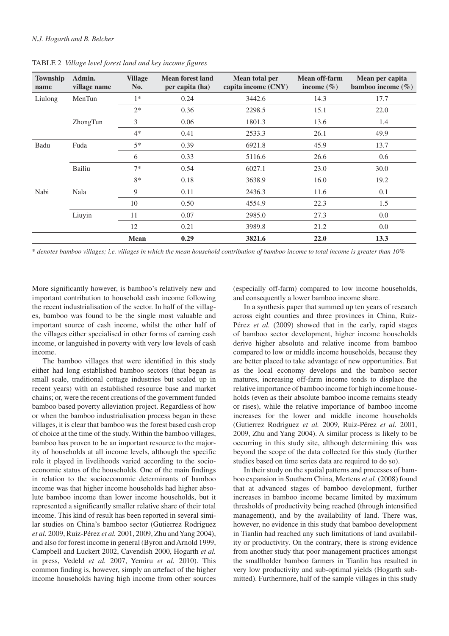| Township<br>name | Admin.<br>village name | <b>Village</b><br>No. | <b>Mean forest land</b><br>per capita (ha) | Mean total per<br>capita income (CNY) | <b>Mean off-farm</b><br>income $(\% )$ | Mean per capita<br>bamboo income $(\% )$ |
|------------------|------------------------|-----------------------|--------------------------------------------|---------------------------------------|----------------------------------------|------------------------------------------|
| Liulong          | MenTun                 | $1*$                  | 0.24                                       | 3442.6                                | 14.3                                   | 17.7                                     |
|                  |                        | $2*$                  | 0.36                                       | 2298.5                                | 15.1                                   | 22.0                                     |
|                  | ZhongTun               | 3                     | 0.06                                       | 1801.3                                | 13.6                                   | 1.4                                      |
|                  |                        | $4*$                  | 0.41                                       | 2533.3                                | 26.1                                   | 49.9                                     |
| Badu             | Fuda                   | $5*$                  | 0.39                                       | 6921.8                                | 45.9                                   | 13.7                                     |
|                  |                        | 6                     | 0.33                                       | 5116.6                                | 26.6                                   | 0.6                                      |
|                  | Bailiu                 | $7*$                  | 0.54                                       | 6027.1                                | 23.0                                   | 30.0                                     |
|                  |                        | $8*$                  | 0.18                                       | 3638.9                                | 16.0                                   | 19.2                                     |
| Nabi             | Nala                   | 9                     | 0.11                                       | 2436.3                                | 11.6                                   | 0.1                                      |
|                  |                        | 10                    | 0.50                                       | 4554.9                                | 22.3                                   | 1.5                                      |
|                  | Liuyin                 | 11                    | 0.07                                       | 2985.0                                | 27.3                                   | 0.0                                      |
|                  |                        | 12                    | 0.21                                       | 3989.8                                | 21.2                                   | 0.0                                      |
|                  |                        | <b>Mean</b>           | 0.29                                       | 3821.6                                | 22.0                                   | 13.3                                     |

TABLE 2 *Village level forest land and key income figures*

\* *denotes bamboo villages; i.e. villages in which the mean household contribution of bamboo income to total income is greater than 10%*

More significantly however, is bamboo's relatively new and important contribution to household cash income following the recent industrialisation of the sector. In half of the villages, bamboo was found to be the single most valuable and important source of cash income, whilst the other half of the villages either specialised in other forms of earning cash income, or languished in poverty with very low levels of cash income.

The bamboo villages that were identified in this study either had long established bamboo sectors (that began as small scale, traditional cottage industries but scaled up in recent years) with an established resource base and market chains; or, were the recent creations of the government funded bamboo based poverty alleviation project. Regardless of how or when the bamboo industrialisation process began in these villages, it is clear that bamboo was the forest based cash crop of choice at the time of the study. Within the bamboo villages, bamboo has proven to be an important resource to the majority of households at all income levels, although the specific role it played in livelihoods varied according to the socioeconomic status of the households. One of the main findings in relation to the socioeconomic determinants of bamboo income was that higher income households had higher absolute bamboo income than lower income households, but it represented a significantly smaller relative share of their total income. This kind of result has been reported in several similar studies on China's bamboo sector (Gutierrez Rodriguez *et al.* 2009, Ruiz-Pérez *et al.* 2001, 2009, Zhu and Yang 2004), and also for forest income in general (Byron and Arnold 1999, Campbell and Luckert 2002, Cavendish 2000, Hogarth *et al.* in press, Vedeld *et al.* 2007, Yemiru *et al.* 2010). This common finding is, however, simply an artefact of the higher income households having high income from other sources

(especially off-farm) compared to low income households, and consequently a lower bamboo income share.

In a synthesis paper that summed up ten years of research across eight counties and three provinces in China, Ruiz-Pérez *et al.* (2009) showed that in the early, rapid stages of bamboo sector development, higher income households derive higher absolute and relative income from bamboo compared to low or middle income households, because they are better placed to take advantage of new opportunities. But as the local economy develops and the bamboo sector matures, increasing off-farm income tends to displace the relative importance of bamboo income for high income households (even as their absolute bamboo income remains steady or rises), while the relative importance of bamboo income increases for the lower and middle income households (Gutierrez Rodriguez *et al.* 2009, Ruiz-Pérez *et al.* 2001, 2009, Zhu and Yang 2004). A similar process is likely to be occurring in this study site, although determining this was beyond the scope of the data collected for this study (further studies based on time series data are required to do so).

In their study on the spatial patterns and processes of bamboo expansion in Southern China, Mertens *et al.* (2008) found that at advanced stages of bamboo development, further increases in bamboo income became limited by maximum thresholds of productivity being reached (through intensified management), and by the availability of land. There was, however, no evidence in this study that bamboo development in Tianlin had reached any such limitations of land availability or productivity. On the contrary, there is strong evidence from another study that poor management practices amongst the smallholder bamboo farmers in Tianlin has resulted in very low productivity and sub-optimal yields (Hogarth submitted). Furthermore, half of the sample villages in this study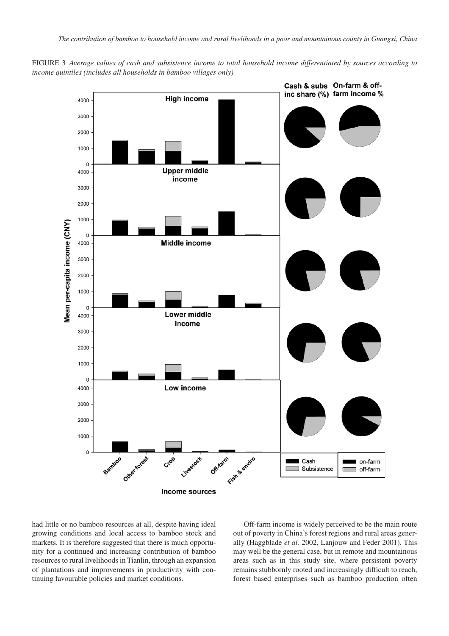FIGURE 3 *Average values of cash and subsistence income to total household income differentiated by sources according to income quintiles (includes all households in bamboo villages only)*



had little or no bamboo resources at all, despite having ideal growing conditions and local access to bamboo stock and markets. It is therefore suggested that there is much opportunity for a continued and increasing contribution of bamboo resources to rural livelihoods in Tianlin, through an expansion of plantations and improvements in productivity with continuing favourable policies and market conditions.

Off-farm income is widely perceived to be the main route out of poverty in China's forest regions and rural areas generally (Haggblade *et al.* 2002, Lanjouw and Feder 2001). This may well be the general case, but in remote and mountainous areas such as in this study site, where persistent poverty remains stubbornly rooted and increasingly difficult to reach, forest based enterprises such as bamboo production often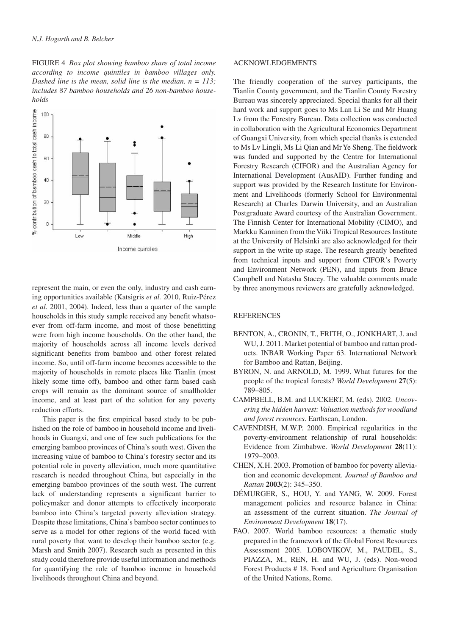FIGURE 4 *Box plot showing bamboo share of total income according to income quintiles in bamboo villages only. Dashed line is the mean, solid line is the median. n = 113; includes 87 bamboo households and 26 non-bamboo households*



represent the main, or even the only, industry and cash earning opportunities available (Katsigris *et al.* 2010, Ruiz-Pérez *et al.* 2001, 2004). Indeed, less than a quarter of the sample households in this study sample received any benefit whatsoever from off-farm income, and most of those benefitting were from high income households. On the other hand, the majority of households across all income levels derived significant benefits from bamboo and other forest related income. So, until off-farm income becomes accessible to the majority of households in remote places like Tianlin (most likely some time off), bamboo and other farm based cash crops will remain as the dominant source of smallholder income, and at least part of the solution for any poverty reduction efforts.

This paper is the first empirical based study to be published on the role of bamboo in household income and livelihoods in Guangxi, and one of few such publications for the emerging bamboo provinces of China's south west. Given the increasing value of bamboo to China's forestry sector and its potential role in poverty alleviation, much more quantitative research is needed throughout China, but especially in the emerging bamboo provinces of the south west. The current lack of understanding represents a significant barrier to policymaker and donor attempts to effectively incorporate bamboo into China's targeted poverty alleviation strategy. Despite these limitations, China's bamboo sector continues to serve as a model for other regions of the world faced with rural poverty that want to develop their bamboo sector (e.g. Marsh and Smith 2007). Research such as presented in this study could therefore provide useful information and methods for quantifying the role of bamboo income in household livelihoods throughout China and beyond.

#### ACKNOWLEDGEMENTS

The friendly cooperation of the survey participants, the Tianlin County government, and the Tianlin County Forestry Bureau was sincerely appreciated. Special thanks for all their hard work and support goes to Ms Lan Li Se and Mr Huang Lv from the Forestry Bureau. Data collection was conducted in collaboration with the Agricultural Economics Department of Guangxi University, from which special thanks is extended to Ms Lv Lingli, Ms Li Qian and Mr Ye Sheng. The fieldwork was funded and supported by the Centre for International Forestry Research (CIFOR) and the Australian Agency for International Development (AusAID). Further funding and support was provided by the Research Institute for Environment and Livelihoods (formerly School for Environmental Research) at Charles Darwin University, and an Australian Postgraduate Award courtesy of the Australian Government. The Finnish Center for International Mobility (CIMO), and Markku Kanninen from the Viiki Tropical Resources Institute at the University of Helsinki are also acknowledged for their support in the write up stage. The research greatly benefited from technical inputs and support from CIFOR's Poverty and Environment Network (PEN), and inputs from Bruce Campbell and Natasha Stacey. The valuable comments made by three anonymous reviewers are gratefully acknowledged.

#### REFERENCES

- BENTON, A., CRONIN, T., FRITH, O., JONKHART, J. and WU, J. 2011. Market potential of bamboo and rattan products. INBAR Working Paper 63. International Network for Bamboo and Rattan, Beijing.
- BYRON, N. and ARNOLD, M. 1999. What futures for the people of the tropical forests? *World Development* **27**(5): 789–805.
- CAMPBELL, B.M. and LUCKERT, M. (eds). 2002. *Uncovering the hidden harvest: Valuation methods for woodland and forest resources*. Earthscan, London.
- CAVENDISH, M.W.P. 2000. Empirical regularities in the poverty-environment relationship of rural households: Evidence from Zimbabwe. *World Development* **28**(11): 1979–2003.
- CHEN, X.H. 2003. Promotion of bamboo for poverty alleviation and economic development. *Journal of Bamboo and Rattan* **2003**(2): 345–350.
- DÉMURGER, S., HOU, Y. and YANG, W. 2009. Forest management policies and resource balance in China: an assessment of the current situation. *The Journal of Environment Development* **18**(17).
- FAO. 2007. World bamboo resources: a thematic study prepared in the framework of the Global Forest Resources Assessment 2005. LOBOVIKOV, M., PAUDEL, S., PIAZZA, M., REN, H. and WU, J. (eds). Non-wood Forest Products # 18. Food and Agriculture Organisation of the United Nations, Rome.